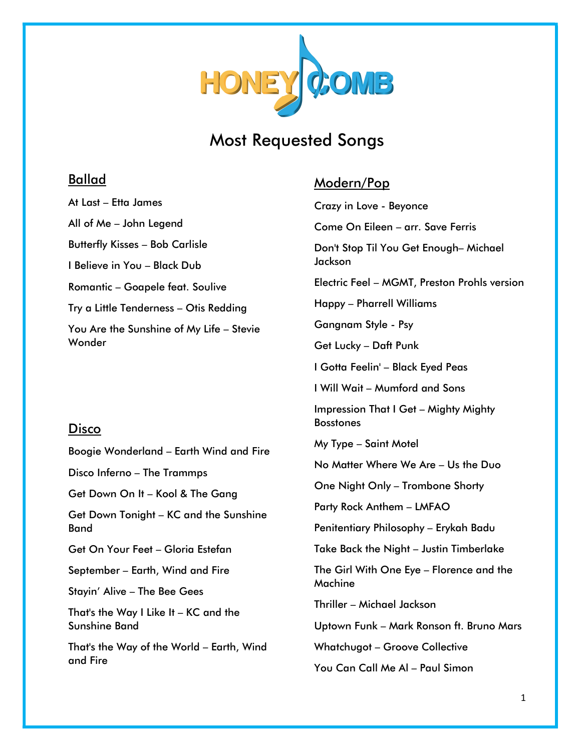

# Most Requested Songs

### Ballad

At Last – Etta James All of Me – John Legend Butterfly Kisses – Bob Carlisle I Believe in You – Black Dub Romantic – Goapele feat. Soulive Try a Little Tenderness – Otis Redding You Are the Sunshine of My Life – Stevie Wonder

### Disco

Boogie Wonderland – Earth Wind and Fire

Disco Inferno – The Trammps

Get Down On It – Kool & The Gang

Get Down Tonight – KC and the Sunshine Band

Get On Your Feet – Gloria Estefan

September – Earth, Wind and Fire

Stayin' Alive – The Bee Gees

That's the Way I Like It – KC and the Sunshine Band

That's the Way of the World – Earth, Wind and Fire

## Modern/Pop

Crazy in Love - Beyonce Come On Eileen – arr. Save Ferris Don't Stop Til You Get Enough– Michael Jackson Electric Feel – MGMT, Preston Prohls version Happy – Pharrell Williams Gangnam Style - Psy Get Lucky – Daft Punk I Gotta Feelin' – Black Eyed Peas I Will Wait – Mumford and Sons Impression That I Get – Mighty Mighty Bosstones My Type – Saint Motel No Matter Where We Are – Us the Duo One Night Only – Trombone Shorty Party Rock Anthem – LMFAO Penitentiary Philosophy – Erykah Badu Take Back the Night – Justin Timberlake The Girl With One Eye – Florence and the Machine Thriller – Michael Jackson Uptown Funk – Mark Ronson ft. Bruno Mars Whatchugot – Groove Collective You Can Call Me Al – Paul Simon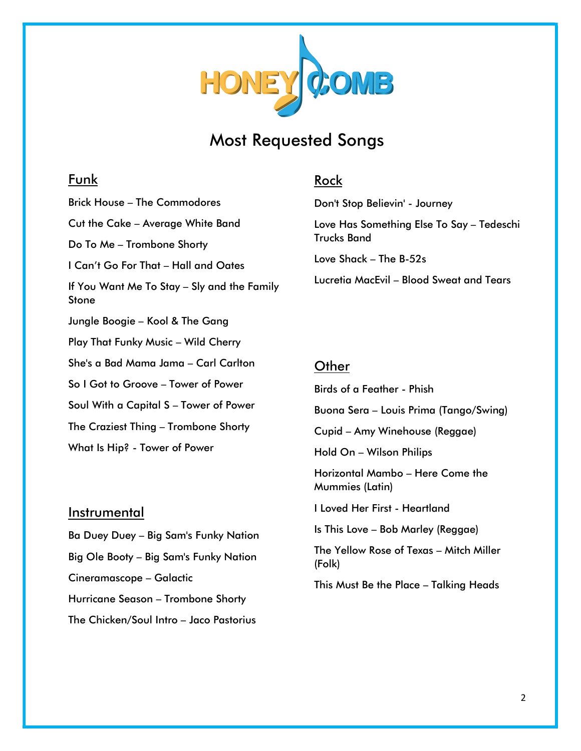

# Most Requested Songs

## Funk

Brick House – The Commodores Cut the Cake – Average White Band Do To Me – Trombone Shorty I Can't Go For That – Hall and Oates If You Want Me To Stay – Sly and the Family Stone Jungle Boogie – Kool & The Gang Play That Funky Music – Wild Cherry She's a Bad Mama Jama – Carl Carlton So I Got to Groove – Tower of Power Soul With a Capital S – Tower of Power The Craziest Thing – Trombone Shorty What Is Hip? - Tower of Power

#### **Instrumental**

Ba Duey Duey – Big Sam's Funky Nation Big Ole Booty – Big Sam's Funky Nation Cineramascope – Galactic Hurricane Season – Trombone Shorty The Chicken/Soul Intro – Jaco Pastorius

#### Rock

Don't Stop Believin' - Journey

Love Has Something Else To Say – Tedeschi Trucks Band

Love Shack – The B-52s

Lucretia MacEvil – Blood Sweat and Tears

#### **Other**

Birds of a Feather - Phish Buona Sera – Louis Prima (Tango/Swing) Cupid – Amy Winehouse (Reggae) Hold On – Wilson Philips Horizontal Mambo – Here Come the Mummies (Latin) I Loved Her First - Heartland Is This Love – Bob Marley (Reggae) The Yellow Rose of Texas – Mitch Miller (Folk) This Must Be the Place – Talking Heads